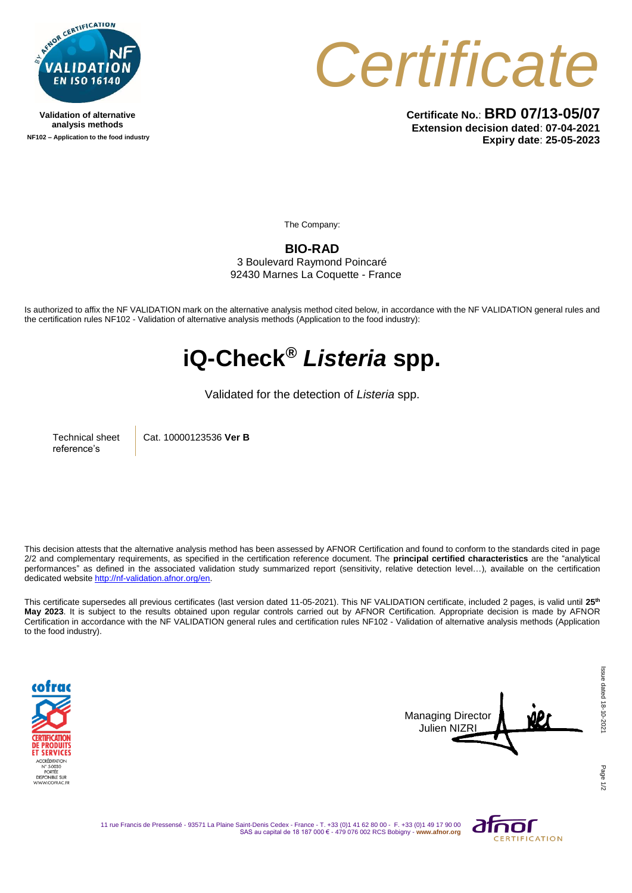

**Validation of alternative analysis methods NF102 – Application to the food industry** *Certificate*

**Certificate No.**: **BRD 07/13-05/07 Extension decision dated**: **07-04-2021 Expiry date**: **25-05-2023**

The Company:

**BIO-RAD** 3 Boulevard Raymond Poincaré

92430 Marnes La Coquette - France

Is authorized to affix the NF VALIDATION mark on the alternative analysis method cited below, in accordance with the NF VALIDATION general rules and the certification rules NF102 - Validation of alternative analysis methods (Application to the food industry):

## **iQ-Check®** *Listeria* **spp.**

Validated for the detection of *Listeria* spp.

Technical sheet reference's

Cat. 10000123536 **Ver B**

This decision attests that the alternative analysis method has been assessed by AFNOR Certification and found to conform to the standards cited in page 2/2 and complementary requirements, as specified in the certification reference document. The **principal certified characteristics** are the "analytical performances" as defined in the associated validation study summarized report (sensitivity, relative detection level…), available on the certification dedicated websit[e http://nf-validation.afnor.org/en.](http://nf-validation.afnor.org/en)

This certificate supersedes all previous certificates (last version dated 11-05-2021). This NF VALIDATION certificate, included 2 pages, is valid until **25 th May 2023**. It is subject to the results obtained upon regular controls carried out by AFNOR Certification. Appropriate decision is made by AFNOR Certification in accordance with the NF VALIDATION general rules and certification rules NF102 - Validation of alternative analysis methods (Application to the food industry).





11 rue Francis de Pressensé - 93571 La Plaine Saint-Denis Cedex - France - T. +33 (0)1 41 62 80 00 - F. +33 (0)1 49 17 90 00 SAS au capital de 18 187 000 € - 479 076 002 RCS Bobigny - **www.afnor.org**